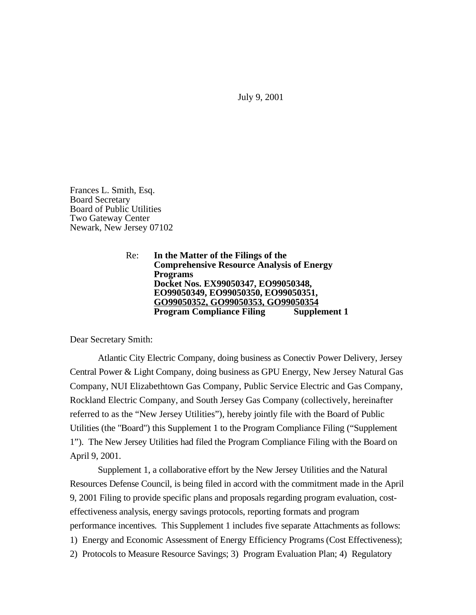July 9, 2001

Frances L. Smith, Esq. Board Secretary Board of Public Utilities Two Gateway Center Newark, New Jersey 07102

> Re: **In the Matter of the Filings of the Comprehensive Resource Analysis of Energy Programs Docket Nos. EX99050347, EO99050348, EO99050349, EO99050350, EO99050351, GO99050352, GO99050353, GO99050354 Program Compliance Filing**

Dear Secretary Smith:

Atlantic City Electric Company, doing business as Conectiv Power Delivery, Jersey Central Power & Light Company, doing business as GPU Energy, New Jersey Natural Gas Company, NUI Elizabethtown Gas Company, Public Service Electric and Gas Company, Rockland Electric Company, and South Jersey Gas Company (collectively, hereinafter referred to as the "New Jersey Utilities"), hereby jointly file with the Board of Public Utilities (the "Board") this Supplement 1 to the Program Compliance Filing ("Supplement 1"). The New Jersey Utilities had filed the Program Compliance Filing with the Board on April 9, 2001.

Supplement 1, a collaborative effort by the New Jersey Utilities and the Natural Resources Defense Council, is being filed in accord with the commitment made in the April 9, 2001 Filing to provide specific plans and proposals regarding program evaluation, costeffectiveness analysis, energy savings protocols, reporting formats and program performance incentives. This Supplement 1 includes five separate Attachments as follows: 1) Energy and Economic Assessment of Energy Efficiency Programs (Cost Effectiveness); 2) Protocols to Measure Resource Savings; 3) Program Evaluation Plan; 4) Regulatory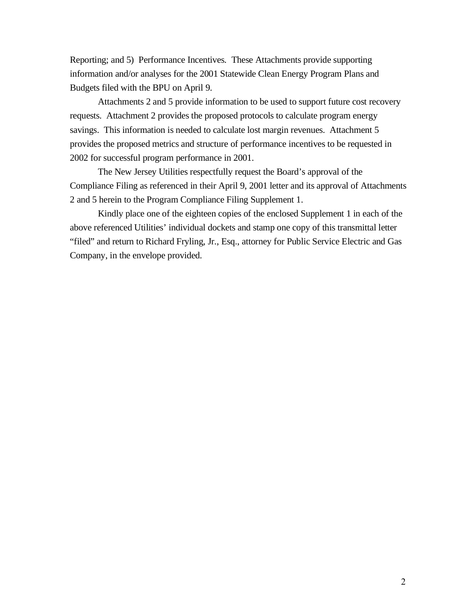Reporting; and 5) Performance Incentives. These Attachments provide supporting information and/or analyses for the 2001 Statewide Clean Energy Program Plans and Budgets filed with the BPU on April 9.

Attachments 2 and 5 provide information to be used to support future cost recovery requests. Attachment 2 provides the proposed protocols to calculate program energy savings. This information is needed to calculate lost margin revenues. Attachment 5 provides the proposed metrics and structure of performance incentives to be requested in 2002 for successful program performance in 2001.

The New Jersey Utilities respectfully request the Board's approval of the Compliance Filing as referenced in their April 9, 2001 letter and its approval of Attachments 2 and 5 herein to the Program Compliance Filing Supplement 1.

Kindly place one of the eighteen copies of the enclosed Supplement 1 in each of the above referenced Utilities' individual dockets and stamp one copy of this transmittal letter "filed" and return to Richard Fryling, Jr., Esq., attorney for Public Service Electric and Gas Company, in the envelope provided.